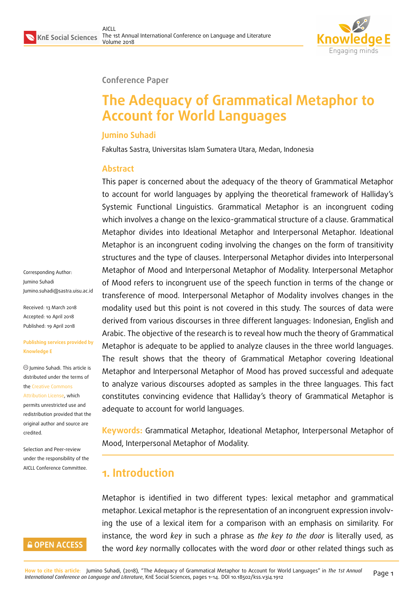Corresponding Author: Jumino Suhadi

Received: 13 March 2018 Accepted: 10 April 2018 [Published: 19 April 2018](mailto:Jumino.suhadi@sastra.uisu.ac.id)

Jumino Suhadi. This article is distributed under the terms of the Creative Commons Attribution License, which permits unrestricted use and redistribution provided that the ori[ginal author and sou](https://creativecommons.org/licenses/by/4.0/)rce are

**Knowledge E**

[credited.](https://creativecommons.org/licenses/by/4.0/)



#### **Conference Paper**

# **The Adequacy of Grammatical Metaphor to Account for World Languages**

#### **Jumino Suhadi**

Fakultas Sastra, Universitas Islam Sumatera Utara, Medan, Indonesia

#### **Abstract**

This paper is concerned about the adequacy of the theory of Grammatical Metaphor to account for world languages by applying the theoretical framework of Halliday's Systemic Functional Linguistics. Grammatical Metaphor is an incongruent coding which involves a change on the lexico-grammatical structure of a clause. Grammatical Metaphor divides into Ideational Metaphor and Interpersonal Metaphor. Ideational Metaphor is an incongruent coding involving the changes on the form of transitivity structures and the type of clauses. Interpersonal Metaphor divides into Interpersonal Metaphor of Mood and Interpersonal Metaphor of Modality. Interpersonal Metaphor of Mood refers to incongruent use of the speech function in terms of the change or transference of mood. Interpersonal Metaphor of Modality involves changes in the modality used but this point is not covered in this study. The sources of data were derived from various discourses in three different languages: Indonesian, English and Arabic. The objective of the research is to reveal how much the theory of Grammatical Metaphor is adequate to be applied to analyze clauses in the three world languages. The result shows that the theory of Grammatical Metaphor covering Ideational Metaphor and Interpersonal Metaphor of Mood has proved successful and adequate to analyze various discourses adopted as samples in the three languages. This fact constitutes convincing evidence that Halliday's theory of Grammatical Metaphor is adequate to account for world languages. Jumino.suhadi@sastra.uisu.ac.id **Publishing services provided by**

> **Keywords:** Grammatical Metaphor, Ideational Metaphor, Interpersonal Metaphor of Mood, Interpersonal Metaphor of Modality.

# **1. Introduction**

Metaphor is identified in two different types: lexical metaphor and grammatical metaphor. Lexical metaphor is the representation of an incongruent expression involving the use of a lexical item for a comparison with an emphasis on similarity. For instance, the word *key* in such a phrase as *the key to the door* is literally used, as the word *key* normally collocates with the word *door* or other related things such as



Selection and Peer-review under the responsibility of the AICLL Conference Committee.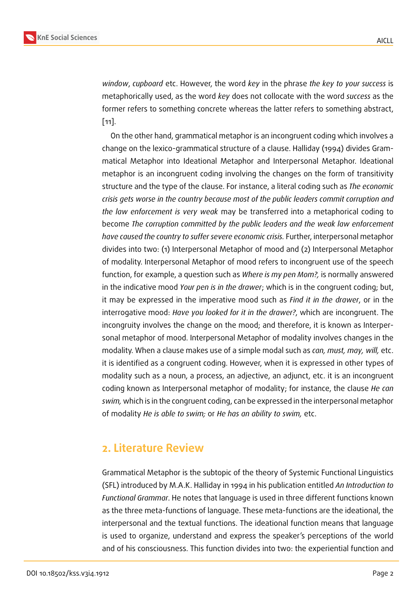*window*, *cupboard* etc. However, the word *key* in the phrase *the key to your success* is metaphorically used, as the word *key* does not collocate with the word *success* as the former refers to something concrete whereas the latter refers to something abstract, [11].

On the other hand, grammatical metaphor is an incongruent coding which involves a change on the lexico-grammatical structure of a clause. Halliday (1994) divides Gram[ma](#page-13-0)tical Metaphor into Ideational Metaphor and Interpersonal Metaphor. Ideational metaphor is an incongruent coding involving the changes on the form of transitivity structure and the type of the clause. For instance, a literal coding such as *The economic crisis gets worse in the country because most of the public leaders commit corruption and the law enforcement is very weak* may be transferred into a metaphorical coding to become *The corruption committed by the public leaders and the weak law enforcement have caused the country to suffer severe economic crisis.* Further, interpersonal metaphor divides into two: (1) Interpersonal Metaphor of mood and (2) Interpersonal Metaphor of modality. Interpersonal Metaphor of mood refers to incongruent use of the speech function, for example, a question such as *Where is my pen Mom?,* is normally answered in the indicative mood *Your pen is in the drawer*; which is in the congruent coding; but, it may be expressed in the imperative mood such as *Find it in the drawer*, or in the interrogative mood: *Have you looked for it in the drawer?*, which are incongruent. The incongruity involves the change on the mood; and therefore, it is known as Interpersonal metaphor of mood. Interpersonal Metaphor of modality involves changes in the modality. When a clause makes use of a simple modal such as *can, must, may, will,* etc. it is identified as a congruent coding. However, when it is expressed in other types of modality such as a noun, a process, an adjective, an adjunct, etc. it is an incongruent coding known as Interpersonal metaphor of modality; for instance, the clause *He can swim,* which is in the congruent coding, can be expressed in the interpersonal metaphor of modality *He is able to swim;* or *He has an ability to swim,* etc.

## **2. Literature Review**

Grammatical Metaphor is the subtopic of the theory of Systemic Functional Linguistics (SFL) introduced by M.A.K. Halliday in 1994 in his publication entitled *An Introduction to Functional Grammar*. He notes that language is used in three different functions known as the three meta-functions of language. These meta-functions are the ideational, the interpersonal and the textual functions. The ideational function means that language is used to organize, understand and express the speaker's perceptions of the world and of his consciousness. This function divides into two: the experiential function and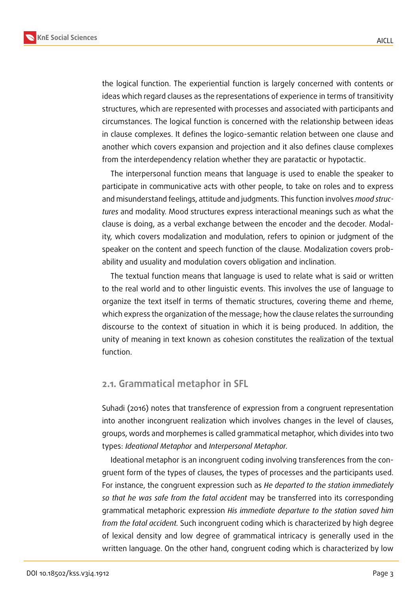**KnE Social Sciences**



the logical function. The experiential function is largely concerned with contents or ideas which regard clauses as the representations of experience in terms of transitivity structures, which are represented with processes and associated with participants and circumstances. The logical function is concerned with the relationship between ideas in clause complexes. It defines the logico-semantic relation between one clause and another which covers expansion and projection and it also defines clause complexes from the interdependency relation whether they are paratactic or hypotactic.

The interpersonal function means that language is used to enable the speaker to participate in communicative acts with other people, to take on roles and to express and misunderstand feelings, attitude and judgments. This function involves *mood structures* and modality. Mood structures express interactional meanings such as what the clause is doing, as a verbal exchange between the encoder and the decoder. Modality, which covers modalization and modulation, refers to opinion or judgment of the speaker on the content and speech function of the clause. Modalization covers probability and usuality and modulation covers obligation and inclination.

The textual function means that language is used to relate what is said or written to the real world and to other linguistic events. This involves the use of language to organize the text itself in terms of thematic structures, covering theme and rheme, which express the organization of the message; how the clause relates the surrounding discourse to the context of situation in which it is being produced. In addition, the unity of meaning in text known as cohesion constitutes the realization of the textual function.

#### **2.1. Grammatical metaphor in SFL**

Suhadi (2016) notes that transference of expression from a congruent representation into another incongruent realization which involves changes in the level of clauses, groups, words and morphemes is called grammatical metaphor, which divides into two types: *Ideational Metaphor* and *Interpersonal Metaphor.*

Ideational metaphor is an incongruent coding involving transferences from the congruent form of the types of clauses, the types of processes and the participants used. For instance, the congruent expression such as *He departed to the station immediately so that he was safe from the fatal accident* may be transferred into its corresponding grammatical metaphoric expression *His immediate departure to the station saved him from the fatal accident.* Such incongruent coding which is characterized by high degree of lexical density and low degree of grammatical intricacy is generally used in the written language. On the other hand, congruent coding which is characterized by low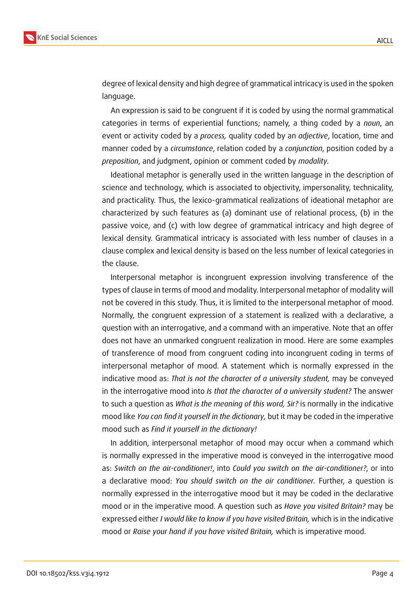

degree of lexical density and high degree of grammatical intricacy is used in the spoken language.

An expression is said to be congruent if it is coded by using the normal grammatical categories in terms of experiential functions; namely, a thing coded by a *noun*, an event or activity coded by a *process,* quality coded by an *adjective*, location, time and manner coded by a *circumstance*, relation coded by a *conjunction*, position coded by a *preposition*, and judgment, opinion or comment coded by *modality.*

Ideational metaphor is generally used in the written language in the description of science and technology, which is associated to objectivity, impersonality, technicality, and practicality. Thus, the lexico-grammatical realizations of ideational metaphor are characterized by such features as (a) dominant use of relational process, (b) in the passive voice, and (c) with low degree of grammatical intricacy and high degree of lexical density. Grammatical intricacy is associated with less number of clauses in a clause complex and lexical density is based on the less number of lexical categories in the clause.

Interpersonal metaphor is incongruent expression involving transference of the types of clause in terms of mood and modality. Interpersonal metaphor of modality will not be covered in this study. Thus, it is limited to the interpersonal metaphor of mood. Normally, the congruent expression of a statement is realized with a declarative, a question with an interrogative, and a command with an imperative. Note that an offer does not have an unmarked congruent realization in mood. Here are some examples of transference of mood from congruent coding into incongruent coding in terms of interpersonal metaphor of mood. A statement which is normally expressed in the indicative mood as: *That is not the character of a university student,* may be conveyed in the interrogative mood into *Is that the character of a university student?* The answer to such a question as *What is the meaning of this word, Sir?* is normally in the indicative mood like *You can find it yourself in the dictionary,* but it may be coded in the imperative mood such as *Find it yourself in the dictionary!*

In addition, interpersonal metaphor of mood may occur when a command which is normally expressed in the imperative mood is conveyed in the interrogative mood as: *Switch on the air-conditioner!*, into *Could you switch on the air-conditioner?*, or into a declarative mood: *You should switch on the air conditioner.* Further, a question is normally expressed in the interrogative mood but it may be coded in the declarative mood or in the imperative mood. A question such as *Have you visited Britain?* may be expressed either *I would like to know if you have visited Britain,* which is in the indicative mood or *Raise your hand if you have visited Britain,* which is imperative mood.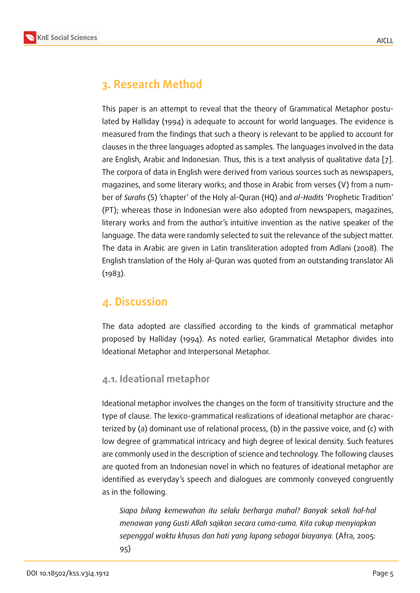# **3. Research Method**

This paper is an attempt to reveal that the theory of Grammatical Metaphor postulated by Halliday (1994) is adequate to account for world languages. The evidence is measured from the findings that such a theory is relevant to be applied to account for clauses in the three languages adopted as samples. The languages involved in the data are English, Arabic and Indonesian. Thus, this is a text analysis of qualitative data [7]. The corpora of data in English were derived from various sources such as newspapers, magazines, and some literary works; and those in Arabic from verses (V) from a number of *Surahs* (S) 'chapter' of the Holy al-Quran (HQ) and *al*-*Hadits* 'Prophetic Traditi[on](#page-13-1)' (PT); whereas those in Indonesian were also adopted from newspapers, magazines, literary works and from the author's intuitive invention as the native speaker of the language. The data were randomly selected to suit the relevance of the subject matter. The data in Arabic are given in Latin transliteration adopted from Adlani (2008). The English translation of the Holy al-Quran was quoted from an outstanding translator Ali (1983).

# **4. Discussion**

The data adopted are classified according to the kinds of grammatical metaphor proposed by Halliday (1994). As noted earlier, Grammatical Metaphor divides into Ideational Metaphor and Interpersonal Metaphor.

### **4.1. Ideational metaphor**

Ideational metaphor involves the changes on the form of transitivity structure and the type of clause. The lexico-grammatical realizations of ideational metaphor are characterized by (a) dominant use of relational process, (b) in the passive voice, and (c) with low degree of grammatical intricacy and high degree of lexical density. Such features are commonly used in the description of science and technology. The following clauses are quoted from an Indonesian novel in which no features of ideational metaphor are identified as everyday's speech and dialogues are commonly conveyed congruently as in the following.

*Siapa bilang kemewahan itu selalu berharga mahal? Banyak sekali hal-hal menawan yang Gusti Allah sajikan secara cuma-cuma. Kita cukup menyiapkan sepenggal waktu khusus dan hati yang lapang sebagai biayanya.* (Afra, 2005: 95)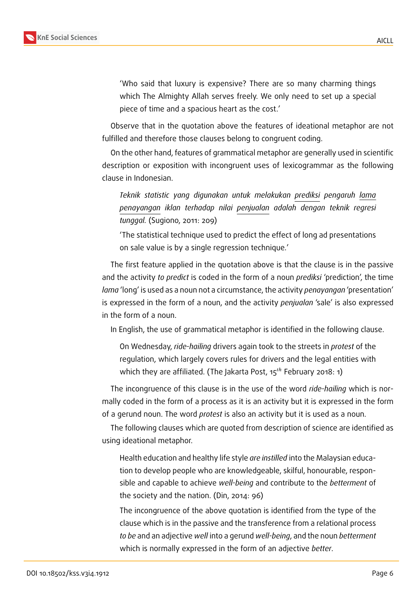

'Who said that luxury is expensive? There are so many charming things which The Almighty Allah serves freely. We only need to set up a special piece of time and a spacious heart as the cost.'

Observe that in the quotation above the features of ideational metaphor are not fulfilled and therefore those clauses belong to congruent coding.

On the other hand, features of grammatical metaphor are generally used in scientific description or exposition with incongruent uses of lexicogrammar as the following clause in Indonesian.

*Teknik statistic yang digunakan untuk melakukan prediksi pengaruh lama penayangan iklan terhadap nilai penjualan adalah dengan teknik regresi tunggal.* (Sugiono, 2011: 209)

'The statistical technique used to predict the effect of long ad presentations on sale value is by a single regression technique.'

The first feature applied in the quotation above is that the clause is in the passive and the activity *to predict* is coded in the form of a noun *prediksi* 'prediction', the time *lama* 'long' is used as a noun not a circumstance, the activity *penayangan* 'presentation' is expressed in the form of a noun, and the activity *penjualan* 'sale' is also expressed in the form of a noun.

In English, the use of grammatical metaphor is identified in the following clause.

On Wednesday, *ride-hailing* drivers again took to the streets in *protest* of the regulation, which largely covers rules for drivers and the legal entities with which they are affiliated. (The Jakarta Post,  $15^{th}$  February 2018: 1)

The incongruence of this clause is in the use of the word *ride-hailing* which is normally coded in the form of a process as it is an activity but it is expressed in the form of a gerund noun. The word *protest* is also an activity but it is used as a noun.

The following clauses which are quoted from description of science are identified as using ideational metaphor.

Health education and healthy life style *are instilled* into the Malaysian education to develop people who are knowledgeable, skilful, honourable, responsible and capable to achieve *well-being* and contribute to the *betterment* of the society and the nation. (Din, 2014: 96)

The incongruence of the above quotation is identified from the type of the clause which is in the passive and the transference from a relational process *to be* and an adjective *well* into a gerund *well-being*, and the noun *betterment* which is normally expressed in the form of an adjective *better*.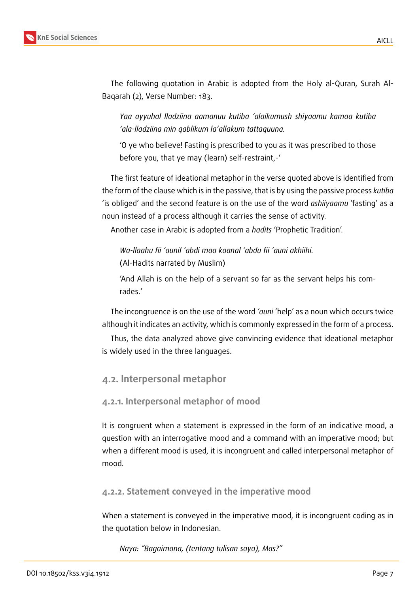

The following quotation in Arabic is adopted from the Holy al-Quran, Surah Al-Baqarah (2), Verse Number: 183.

*Yaa ayyuhal lladziina aamanuu kutiba 'alaikumush shiyaamu kamaa kutiba 'ala-lladziina min qablikum la'allakum tattaquuna.*

'O ye who believe! Fasting is prescribed to you as it was prescribed to those before you, that ye may (learn) self-restraint,-'

The first feature of ideational metaphor in the verse quoted above is identified from the form of the clause which is in the passive, that is by using the passive process *kutiba* 'is obliged' and the second feature is on the use of the word *ashiiyaamu* 'fasting' as a noun instead of a process although it carries the sense of activity.

Another case in Arabic is adopted from a *hadits* 'Prophetic Tradition'.

*Wa-llaahu fii 'aunil 'abdi maa kaanal 'abdu fii 'auni akhiihi.* (Al-Hadits narrated by Muslim)

'And Allah is on the help of a servant so far as the servant helps his comrades.'

The incongruence is on the use of the word *'auni* 'help' as a noun which occurs twice although it indicates an activity, which is commonly expressed in the form of a process.

Thus, the data analyzed above give convincing evidence that ideational metaphor is widely used in the three languages.

#### **4.2. Interpersonal metaphor**

#### **4.2.1. Interpersonal metaphor of mood**

It is congruent when a statement is expressed in the form of an indicative mood, a question with an interrogative mood and a command with an imperative mood; but when a different mood is used, it is incongruent and called interpersonal metaphor of mood.

#### **4.2.2. Statement conveyed in the imperative mood**

When a statement is conveyed in the imperative mood, it is incongruent coding as in the quotation below in Indonesian.

*Naya: "Bagaimana, (tentang tulisan saya), Mas?"*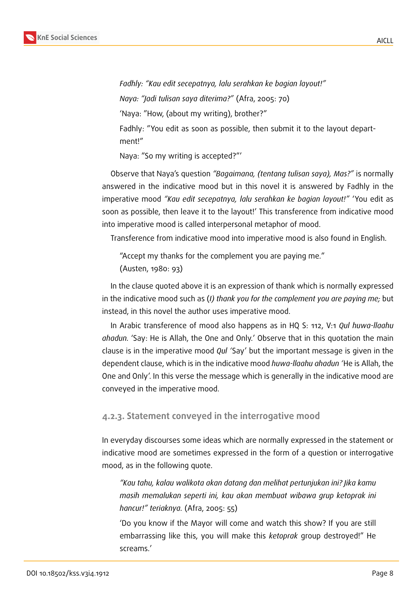

*Fadhly: "Kau edit secepatnya, lalu serahkan ke bagian layout!" Naya: "Jadi tulisan saya diterima?"* (Afra, 2005: 70) 'Naya: "How, (about my writing), brother?" Fadhly: "You edit as soon as possible, then submit it to the layout department!"

Naya: "So my writing is accepted?"'

Observe that Naya's question *"Bagaimana, (tentang tulisan saya), Mas?"* is normally answered in the indicative mood but in this novel it is answered by Fadhly in the imperative mood *"Kau edit secepatnya, lalu serahkan ke bagian layout!"* 'You edit as soon as possible, then leave it to the layout!' This transference from indicative mood into imperative mood is called interpersonal metaphor of mood.

Transference from indicative mood into imperative mood is also found in English.

"Accept my thanks for the complement you are paying me." (Austen, 1980: 93)

In the clause quoted above it is an expression of thank which is normally expressed in the indicative mood such as (*I) thank you for the complement you are paying me;* but instead, in this novel the author uses imperative mood.

In Arabic transference of mood also happens as in HQ S: 112, V:1 *Qul huwa-llaahu ahadun.* 'Say: He is Allah, the One and Only.' Observe that in this quotation the main clause is in the imperative mood *Qul '*Say' but the important message is given in the dependent clause, which is in the indicative mood *huwa-llaahu ahadun '*He is Allah, the One and Only'. In this verse the message which is generally in the indicative mood are conveyed in the imperative mood.

#### **4.2.3. Statement conveyed in the interrogative mood**

In everyday discourses some ideas which are normally expressed in the statement or indicative mood are sometimes expressed in the form of a question or interrogative mood, as in the following quote.

*"Kau tahu, kalau walikota akan datang dan melihat pertunjukan ini? Jika kamu masih memalukan seperti ini, kau akan membuat wibawa grup ketoprak ini hancur!" teriaknya.* (Afra, 2005: 55)

'Do you know if the Mayor will come and watch this show? If you are still embarrassing like this, you will make this *ketoprak* group destroyed!" He screams.'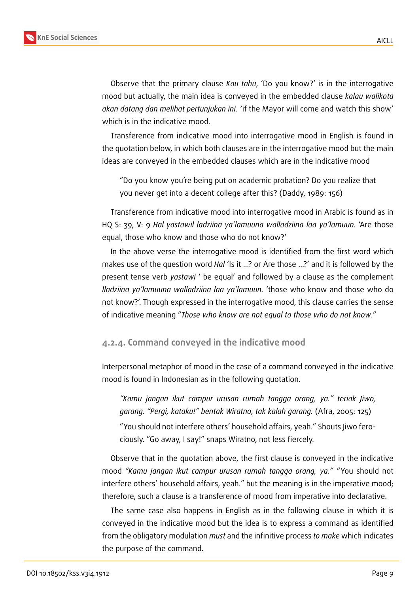

Observe that the primary clause *Kau tahu*, 'Do you know?' is in the interrogative mood but actually, the main idea is conveyed in the embedded clause *kalau walikota akan datang dan melihat pertunjukan ini. '*if the Mayor will come and watch this show' which is in the indicative mood.

Transference from indicative mood into interrogative mood in English is found in the quotation below, in which both clauses are in the interrogative mood but the main ideas are conveyed in the embedded clauses which are in the indicative mood

"Do you know you're being put on academic probation? Do you realize that you never get into a decent college after this? (Daddy, 1989: 156)

Transference from indicative mood into interrogative mood in Arabic is found as in HQ S: 39, V: 9 *Hal yastawil ladziina ya'lamuuna walladziina laa ya'lamuun.* 'Are those equal, those who know and those who do not know?'

In the above verse the interrogative mood is identified from the first word which makes use of the question word *Hal* 'Is it …? or Are those …?' and it is followed by the present tense verb *yastawi* ' be equal' and followed by a clause as the complement *lladziina ya'lamuuna walladziina laa ya'lamuun.* 'those who know and those who do not know?'. Though expressed in the interrogative mood, this clause carries the sense of indicative meaning "*Those who know are not equal to those who do not know*."

#### **4.2.4. Command conveyed in the indicative mood**

Interpersonal metaphor of mood in the case of a command conveyed in the indicative mood is found in Indonesian as in the following quotation.

*"Kamu jangan ikut campur urusan rumah tangga orang, ya." teriak Jiwo, garang. "Pergi, kataku!" bentak Wiratno, tak kalah garang.* (Afra, 2005: 125) "You should not interfere others' household affairs, yeah." Shouts Jiwo ferociously. "Go away, I say!" snaps Wiratno, not less fiercely.

Observe that in the quotation above, the first clause is conveyed in the indicative mood *"Kamu jangan ikut campur urusan rumah tangga orang, ya."* "You should not interfere others' household affairs, yeah." but the meaning is in the imperative mood; therefore, such a clause is a transference of mood from imperative into declarative.

The same case also happens in English as in the following clause in which it is conveyed in the indicative mood but the idea is to express a command as identified from the obligatory modulation *must* and the infinitive process *to make* which indicates the purpose of the command.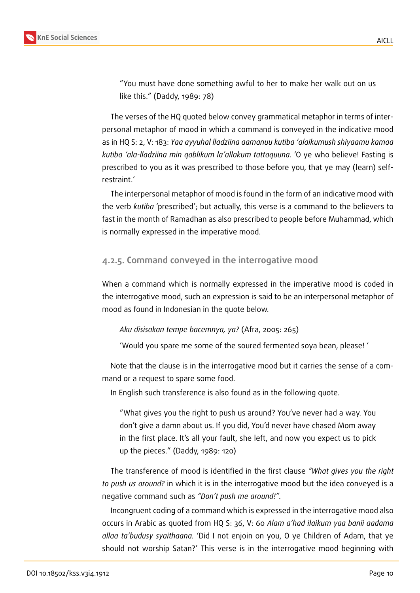

"You must have done something awful to her to make her walk out on us like this." (Daddy, 1989: 78)

The verses of the HQ quoted below convey grammatical metaphor in terms of interpersonal metaphor of mood in which a command is conveyed in the indicative mood as in HQ S: 2, V: 183: *Yaa ayyuhal lladziina aamanuu kutiba 'alaikumush shiyaamu kamaa kutiba 'ala-lladziina min qablikum la'allakum tattaquuna.* 'O ye who believe! Fasting is prescribed to you as it was prescribed to those before you, that ye may (learn) selfrestraint.'

The interpersonal metaphor of mood is found in the form of an indicative mood with the verb *kutiba* 'prescribed'; but actually, this verse is a command to the believers to fast in the month of Ramadhan as also prescribed to people before Muhammad, which is normally expressed in the imperative mood.

#### **4.2.5. Command conveyed in the interrogative mood**

When a command which is normally expressed in the imperative mood is coded in the interrogative mood, such an expression is said to be an interpersonal metaphor of mood as found in Indonesian in the quote below.

#### *Aku disisakan tempe bacemnya, ya?* (Afra, 2005: 265)

'Would you spare me some of the soured fermented soya bean, please! '

Note that the clause is in the interrogative mood but it carries the sense of a command or a request to spare some food.

In English such transference is also found as in the following quote.

"What gives you the right to push us around? You've never had a way. You don't give a damn about us. If you did, You'd never have chased Mom away in the first place. It's all your fault, she left, and now you expect us to pick up the pieces." (Daddy, 1989: 120)

The transference of mood is identified in the first clause *"What gives you the right to push us around?* in which it is in the interrogative mood but the idea conveyed is a negative command such as *"Don't push me around!".*

Incongruent coding of a command which is expressed in the interrogative mood also occurs in Arabic as quoted from HQ S: 36, V: 60 *Alam a'had ilaikum yaa banii aadama allaa ta'budusy syaithaana.* 'Did I not enjoin on you, O ye Children of Adam, that ye should not worship Satan?' This verse is in the interrogative mood beginning with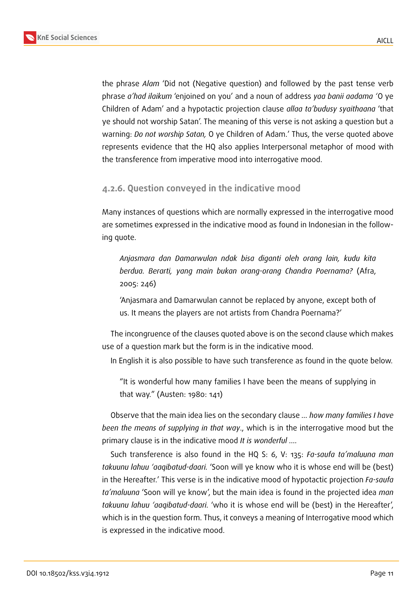

the phrase *Alam* 'Did not (Negative question) and followed by the past tense verb phrase *a'had ilaikum* 'enjoined on you' and a noun of address *yaa banii aadama '*O ye Children of Adam' and a hypotactic projection clause *allaa ta'budusy syaithaana* 'that ye should not worship Satan'. The meaning of this verse is not asking a question but a warning: *Do not worship Satan,* O ye Children of Adam.' Thus, the verse quoted above represents evidence that the HQ also applies Interpersonal metaphor of mood with the transference from imperative mood into interrogative mood.

#### **4.2.6. Question conveyed in the indicative mood**

Many instances of questions which are normally expressed in the interrogative mood are sometimes expressed in the indicative mood as found in Indonesian in the following quote.

*Anjasmara dan Damarwulan ndak bisa diganti oleh orang lain, kudu kita berdua. Berarti, yang main bukan orang-orang Chandra Poernama?* (Afra, 2005: 246)

'Anjasmara and Damarwulan cannot be replaced by anyone, except both of us. It means the players are not artists from Chandra Poernama?'

The incongruence of the clauses quoted above is on the second clause which makes use of a question mark but the form is in the indicative mood.

In English it is also possible to have such transference as found in the quote below.

"It is wonderful how many families I have been the means of supplying in that way." (Austen: 1980: 141)

Observe that the main idea lies on the secondary clause *… how many families I have been the means of supplying in that way*., which is in the interrogative mood but the primary clause is in the indicative mood *It is wonderful ….*

Such transference is also found in the HQ S: 6, V: 135: *Fa-saufa ta'maluuna man takuunu lahuu 'aaqibatud-daari.* 'Soon will ye know who it is whose end will be (best) in the Hereafter.' This verse is in the indicative mood of hypotactic projection *Fa-saufa ta'maluuna* 'Soon will ye know', but the main idea is found in the projected idea *man takuunu lahuu 'aaqibatud-daari.* 'who it is whose end will be (best) in the Hereafter', which is in the question form. Thus, it conveys a meaning of Interrogative mood which is expressed in the indicative mood.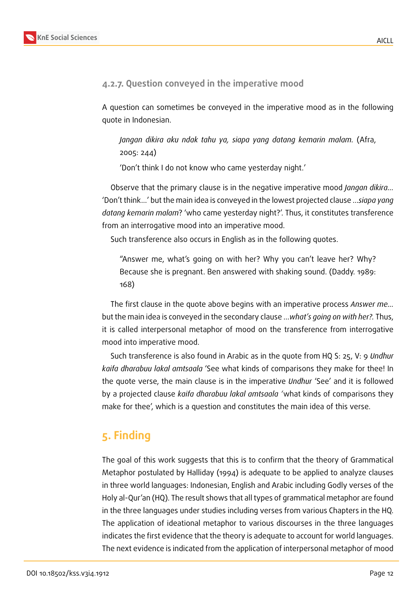#### **4.2.7. Question conveyed in the imperative mood**

A question can sometimes be conveyed in the imperative mood as in the following quote in Indonesian.

*Jangan dikira aku ndak tahu ya, siapa yang datang kemarin malam.* (Afra, 2005: 244)

'Don't think I do not know who came yesterday night.'

Observe that the primary clause is in the negative imperative mood *Jangan dikira…* 'Don't think…' but the main idea is conveyed in the lowest projected clause …*siapa yang datang kemarin malam*? 'who came yesterday night?'. Thus, it constitutes transference from an interrogative mood into an imperative mood.

Such transference also occurs in English as in the following quotes.

"Answer me, what's going on with her? Why you can't leave her? Why? Because she is pregnant. Ben answered with shaking sound. (Daddy. 1989: 168)

The first clause in the quote above begins with an imperative process *Answer me…* but the main idea is conveyed in the secondary clause …*what's going on with her?.* Thus, it is called interpersonal metaphor of mood on the transference from interrogative mood into imperative mood.

Such transference is also found in Arabic as in the quote from HQ S: 25, V: 9 *Undhur kaifa dharabuu lakal amtsaala* 'See what kinds of comparisons they make for thee! In the quote verse, the main clause is in the imperative *Undhur* 'See' and it is followed by a projected clause *kaifa dharabuu lakal amtsaala '*what kinds of comparisons they make for thee', which is a question and constitutes the main idea of this verse.

# **5. Finding**

The goal of this work suggests that this is to confirm that the theory of Grammatical Metaphor postulated by Halliday (1994) is adequate to be applied to analyze clauses in three world languages: Indonesian, English and Arabic including Godly verses of the Holy al-Qur'an (HQ). The result shows that all types of grammatical metaphor are found in the three languages under studies including verses from various Chapters in the HQ. The application of ideational metaphor to various discourses in the three languages indicates the first evidence that the theory is adequate to account for world languages. The next evidence is indicated from the application of interpersonal metaphor of mood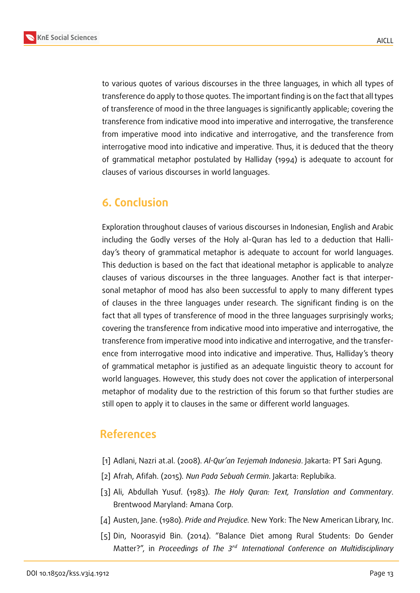

to various quotes of various discourses in the three languages, in which all types of transference do apply to those quotes. The important finding is on the fact that all types of transference of mood in the three languages is significantly applicable; covering the transference from indicative mood into imperative and interrogative, the transference from imperative mood into indicative and interrogative, and the transference from interrogative mood into indicative and imperative. Thus, it is deduced that the theory of grammatical metaphor postulated by Halliday (1994) is adequate to account for clauses of various discourses in world languages.

## **6. Conclusion**

Exploration throughout clauses of various discourses in Indonesian, English and Arabic including the Godly verses of the Holy al-Quran has led to a deduction that Halliday's theory of grammatical metaphor is adequate to account for world languages. This deduction is based on the fact that ideational metaphor is applicable to analyze clauses of various discourses in the three languages. Another fact is that interpersonal metaphor of mood has also been successful to apply to many different types of clauses in the three languages under research. The significant finding is on the fact that all types of transference of mood in the three languages surprisingly works; covering the transference from indicative mood into imperative and interrogative, the transference from imperative mood into indicative and interrogative, and the transference from interrogative mood into indicative and imperative. Thus, Halliday's theory of grammatical metaphor is justified as an adequate linguistic theory to account for world languages. However, this study does not cover the application of interpersonal metaphor of modality due to the restriction of this forum so that further studies are still open to apply it to clauses in the same or different world languages.

### **References**

- [1] Adlani, Nazri at.al. (2008). *Al-Qur'an Terjemah Indonesia*. Jakarta: PT Sari Agung.
- [2] Afrah, Afifah. (2015)*. Nun Pada Sebuah Cermin*. Jakarta: Replubika.
- [3] Ali, Abdullah Yusuf. (1983). *The Holy Quran: Text, Translation and Commentary*. Brentwood Maryland: Amana Corp.
- [4] Austen, Jane. (1980). *Pride and Prejudice.* New York: The New American Library, Inc.
- [5] Din, Noorasyid Bin. (2014). "Balance Diet among Rural Students: Do Gender Matter?", in *Proceedings of The 3<sup>rd</sup> International Conference on Multidisciplinary*